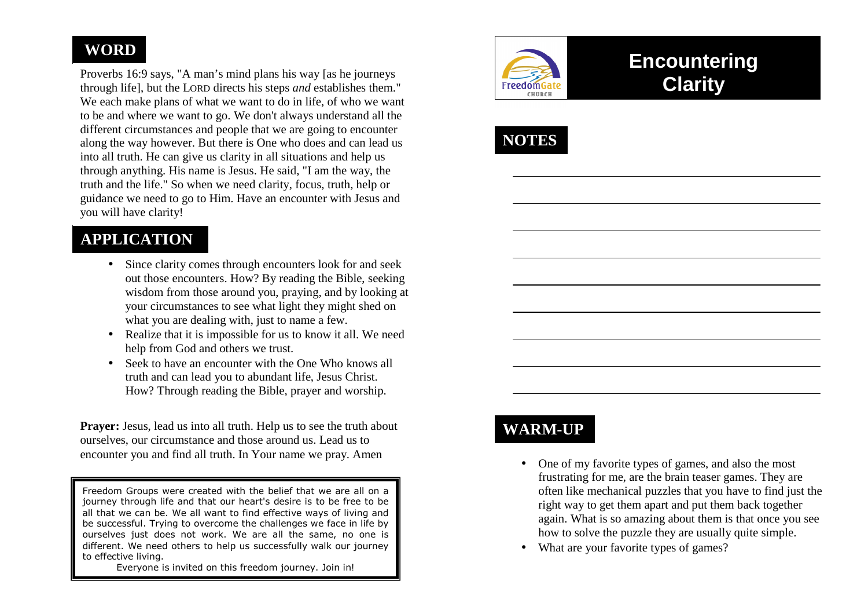## **WORD**

Proverbs 16:9 says, "A man's mind plans his way [as he journeys through life], but the LORD directs his steps *and* establishes them." We each make plans of what we want to do in life, of who we want to be and where we want to go. We don't always understand all the different circumstances and people that we are going to encounter along the way however. But there is One who does and can lead us into all truth. He can give us clarity in all situations and help us through anything. His name is Jesus. He said, "I am the way, the truth and the life." So when we need clarity, focus, truth, help or guidance we need to go to Him. Have an encounter with Jesus and you will have clarity!

## **APPLICATION**

- Since clarity comes through encounters look for and seek out those encounters. How? By reading the Bible, seeking wisdom from those around you, praying, and by looking at your circumstances to see what light they might shed on what you are dealing with, just to name a few.
- Realize that it is impossible for us to know it all. We need help from God and others we trust.
- Seek to have an encounter with the One Who knows all truth and can lead you to abundant life, Jesus Christ. How? Through reading the Bible, prayer and worship.

**Prayer:** Jesus, lead us into all truth. Help us to see the truth about ourselves, our circumstance and those around us. Lead us to encounter you and find all truth. In Your name we pray. Amen

Freedom Groups were created with the belief that we are all on a journey through life and that our heart's desire is to be free to be all that we can be. We all want to find effective ways of living and be successful. Trying to overcome the challenges we face in life by ourselves just does not work. We are all the same, no one is different. We need others to help us successfully walk our journey to effective living.

Everyone is invited on this freedom journey. Join in!



# **Encountering Clarity**



## **WARM-UP**

- One of my favorite types of games, and also the most frustrating for me, are the brain teaser games. They are often like mechanical puzzles that you have to find just the right way to get them apart and put them back together again. What is so amazing about them is that once you see how to solve the puzzle they are usually quite simple.
- What are your favorite types of games?